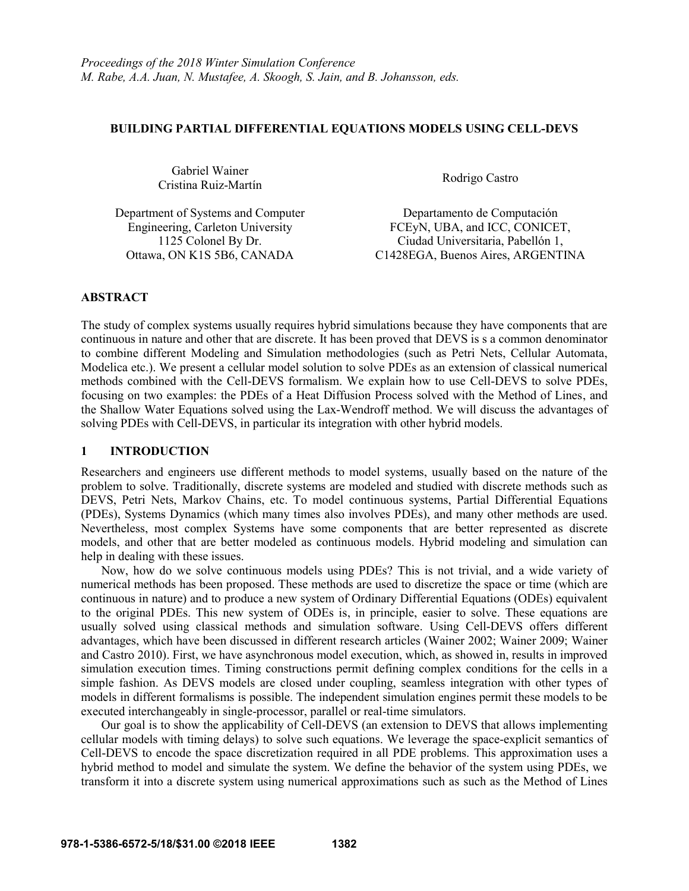## **BUILDING PARTIAL DIFFERENTIAL EQUATIONS MODELS USING CELL-DEVS**

Gabriel Wainer Cristina Ruiz-Martín Rodrigo Castro

Department of Systems and Computer Departamento de Computación

Engineering, Carleton University FCEyN, UBA, and ICC, CONICET, 1125 Colonel By Dr. Ciudad Universitaria, Pabellón 1, Ottawa, ON K1S 5B6, CANADA C1428EGA, Buenos Aires, ARGENTINA

# **ABSTRACT**

The study of complex systems usually requires hybrid simulations because they have components that are continuous in nature and other that are discrete. It has been proved that DEVS is s a common denominator to combine different Modeling and Simulation methodologies (such as Petri Nets, Cellular Automata, Modelica etc.). We present a cellular model solution to solve PDEs as an extension of classical numerical methods combined with the Cell-DEVS formalism. We explain how to use Cell-DEVS to solve PDEs, focusing on two examples: the PDEs of a Heat Diffusion Process solved with the Method of Lines, and the Shallow Water Equations solved using the Lax-Wendroff method. We will discuss the advantages of solving PDEs with Cell-DEVS, in particular its integration with other hybrid models.

# **1 INTRODUCTION**

Researchers and engineers use different methods to model systems, usually based on the nature of the problem to solve. Traditionally, discrete systems are modeled and studied with discrete methods such as DEVS, Petri Nets, Markov Chains, etc. To model continuous systems, Partial Differential Equations (PDEs), Systems Dynamics (which many times also involves PDEs), and many other methods are used. Nevertheless, most complex Systems have some components that are better represented as discrete models, and other that are better modeled as continuous models. Hybrid modeling and simulation can help in dealing with these issues.

Now, how do we solve continuous models using PDEs? This is not trivial, and a wide variety of numerical methods has been proposed. These methods are used to discretize the space or time (which are continuous in nature) and to produce a new system of Ordinary Differential Equations (ODEs) equivalent to the original PDEs. This new system of ODEs is, in principle, easier to solve. These equations are usually solved using classical methods and simulation software. Using Cell-DEVS offers different advantages, which have been discussed in different research articles (Wainer 2002; Wainer 2009; Wainer and Castro 2010). First, we have asynchronous model execution, which, as showed in, results in improved simulation execution times. Timing constructions permit defining complex conditions for the cells in a simple fashion. As DEVS models are closed under coupling, seamless integration with other types of models in different formalisms is possible. The independent simulation engines permit these models to be executed interchangeably in single-processor, parallel or real-time simulators.

Our goal is to show the applicability of Cell-DEVS (an extension to DEVS that allows implementing cellular models with timing delays) to solve such equations. We leverage the space-explicit semantics of Cell-DEVS to encode the space discretization required in all PDE problems. This approximation uses a hybrid method to model and simulate the system. We define the behavior of the system using PDEs, we transform it into a discrete system using numerical approximations such as such as the Method of Lines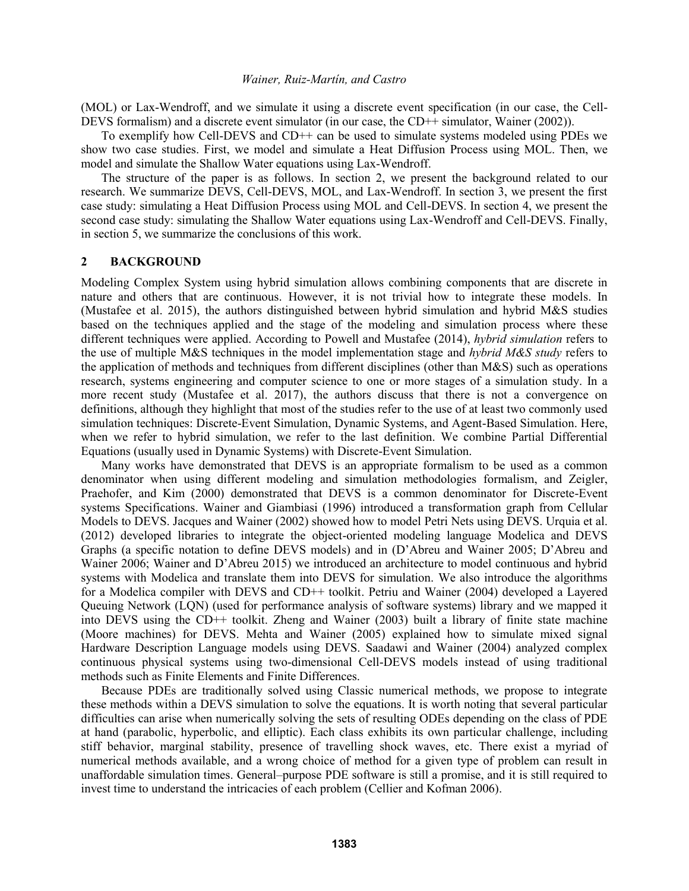(MOL) or Lax-Wendroff, and we simulate it using a discrete event specification (in our case, the Cell-DEVS formalism) and a discrete event simulator (in our case, the CD++ simulator, Wainer (2002)).

To exemplify how Cell-DEVS and CD++ can be used to simulate systems modeled using PDEs we show two case studies. First, we model and simulate a Heat Diffusion Process using MOL. Then, we model and simulate the Shallow Water equations using Lax-Wendroff.

The structure of the paper is as follows. In section 2, we present the background related to our research. We summarize DEVS, Cell-DEVS, MOL, and Lax-Wendroff. In section 3, we present the first case study: simulating a Heat Diffusion Process using MOL and Cell-DEVS. In section 4, we present the second case study: simulating the Shallow Water equations using Lax-Wendroff and Cell-DEVS. Finally, in section 5, we summarize the conclusions of this work.

### **2 BACKGROUND**

Modeling Complex System using hybrid simulation allows combining components that are discrete in nature and others that are continuous. However, it is not trivial how to integrate these models. In (Mustafee et al. 2015), the authors distinguished between hybrid simulation and hybrid M&S studies based on the techniques applied and the stage of the modeling and simulation process where these different techniques were applied. According to Powell and Mustafee (2014), *hybrid simulation* refers to the use of multiple M&S techniques in the model implementation stage and *hybrid M&S study* refers to the application of methods and techniques from different disciplines (other than M&S) such as operations research, systems engineering and computer science to one or more stages of a simulation study. In a more recent study (Mustafee et al. 2017), the authors discuss that there is not a convergence on definitions, although they highlight that most of the studies refer to the use of at least two commonly used simulation techniques: Discrete-Event Simulation, Dynamic Systems, and Agent-Based Simulation. Here, when we refer to hybrid simulation, we refer to the last definition. We combine Partial Differential Equations (usually used in Dynamic Systems) with Discrete-Event Simulation.

Many works have demonstrated that DEVS is an appropriate formalism to be used as a common denominator when using different modeling and simulation methodologies formalism, and Zeigler, Praehofer, and Kim (2000) demonstrated that DEVS is a common denominator for Discrete-Event systems Specifications. Wainer and Giambiasi (1996) introduced a transformation graph from Cellular Models to DEVS. Jacques and Wainer (2002) showed how to model Petri Nets using DEVS. Urquia et al. (2012) developed libraries to integrate the object-oriented modeling language Modelica and DEVS Graphs (a specific notation to define DEVS models) and in (D'Abreu and Wainer 2005; D'Abreu and Wainer 2006; Wainer and D'Abreu 2015) we introduced an architecture to model continuous and hybrid systems with Modelica and translate them into DEVS for simulation. We also introduce the algorithms for a Modelica compiler with DEVS and CD++ toolkit. Petriu and Wainer (2004) developed a Layered Queuing Network (LQN) (used for performance analysis of software systems) library and we mapped it into DEVS using the CD++ toolkit. Zheng and Wainer (2003) built a library of finite state machine (Moore machines) for DEVS. Mehta and Wainer (2005) explained how to simulate mixed signal Hardware Description Language models using DEVS. Saadawi and Wainer (2004) analyzed complex continuous physical systems using two-dimensional Cell-DEVS models instead of using traditional methods such as Finite Elements and Finite Differences.

Because PDEs are traditionally solved using Classic numerical methods, we propose to integrate these methods within a DEVS simulation to solve the equations. It is worth noting that several particular difficulties can arise when numerically solving the sets of resulting ODEs depending on the class of PDE at hand (parabolic, hyperbolic, and elliptic). Each class exhibits its own particular challenge, including stiff behavior, marginal stability, presence of travelling shock waves, etc. There exist a myriad of numerical methods available, and a wrong choice of method for a given type of problem can result in unaffordable simulation times. General–purpose PDE software is still a promise, and it is still required to invest time to understand the intricacies of each problem (Cellier and Kofman 2006).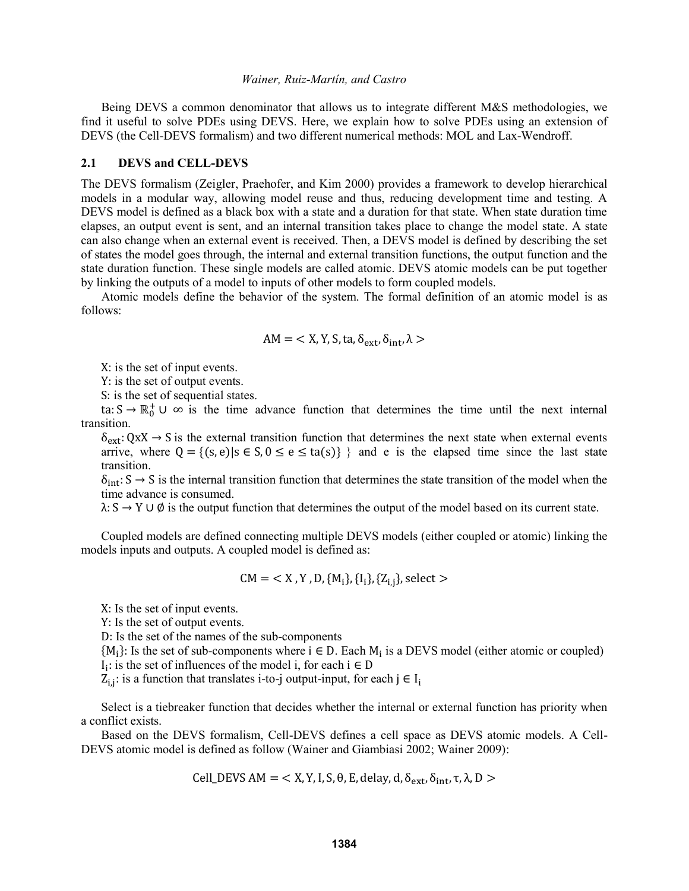Being DEVS a common denominator that allows us to integrate different M&S methodologies, we find it useful to solve PDEs using DEVS. Here, we explain how to solve PDEs using an extension of DEVS (the Cell-DEVS formalism) and two different numerical methods: MOL and Lax-Wendroff.

#### **2.1 DEVS and CELL-DEVS**

The DEVS formalism (Zeigler, Praehofer, and Kim 2000) provides a framework to develop hierarchical models in a modular way, allowing model reuse and thus, reducing development time and testing. A DEVS model is defined as a black box with a state and a duration for that state. When state duration time elapses, an output event is sent, and an internal transition takes place to change the model state. A state can also change when an external event is received. Then, a DEVS model is defined by describing the set of states the model goes through, the internal and external transition functions, the output function and the state duration function. These single models are called atomic. DEVS atomic models can be put together by linking the outputs of a model to inputs of other models to form coupled models.

Atomic models define the behavior of the system. The formal definition of an atomic model is as follows:

$$
AM = \langle X, Y, S, ta, \delta_{ext}, \delta_{int}, \lambda \rangle
$$

X: is the set of input events.

Y: is the set of output events.

S: is the set of sequential states.

ta:  $S \to \mathbb{R}_0^+ \cup \infty$  is the time advance function that determines the time until the next internal transition.

 $\delta_{ext}$ : QxX  $\rightarrow$  S is the external transition function that determines the next state when external events arrive, where  $Q = \{(s, e) | s \in S, 0 \le e \le ta(s)\}\$  and e is the elapsed time since the last state transition.

 $\delta_{\rm int}$ : S  $\rightarrow$  S is the internal transition function that determines the state transition of the model when the time advance is consumed.

 $\lambda: S \to Y \cup \emptyset$  is the output function that determines the output of the model based on its current state.

Coupled models are defined connecting multiple DEVS models (either coupled or atomic) linking the models inputs and outputs. A coupled model is defined as:

$$
CM = \langle X, Y, D, \{M_i\}, \{I_i\}, \{Z_{i,j}\}\
$$
, select  $>$ 

X: Is the set of input events.

Y: Is the set of output events.

D: Is the set of the names of the sub-components

 ${M_i}$ : Is the set of sub-components where  $i \in D$ . Each  $M_i$  is a DEVS model (either atomic or coupled)  $I_i$ : is the set of influences of the model i, for each  $i \in D$ 

 $Z_{i,j}$ : is a function that translates i-to-j output-input, for each  $j \in I_i$ 

Select is a tiebreaker function that decides whether the internal or external function has priority when a conflict exists.

Based on the DEVS formalism, Cell-DEVS defines a cell space as DEVS atomic models. A Cell-DEVS atomic model is defined as follow (Wainer and Giambiasi 2002; Wainer 2009):

Cell\_DEVS AM = < X, Y, I, S, θ, E, delay, d,  $\delta_{ext}$ ,  $\delta_{int}$ , τ, λ, D >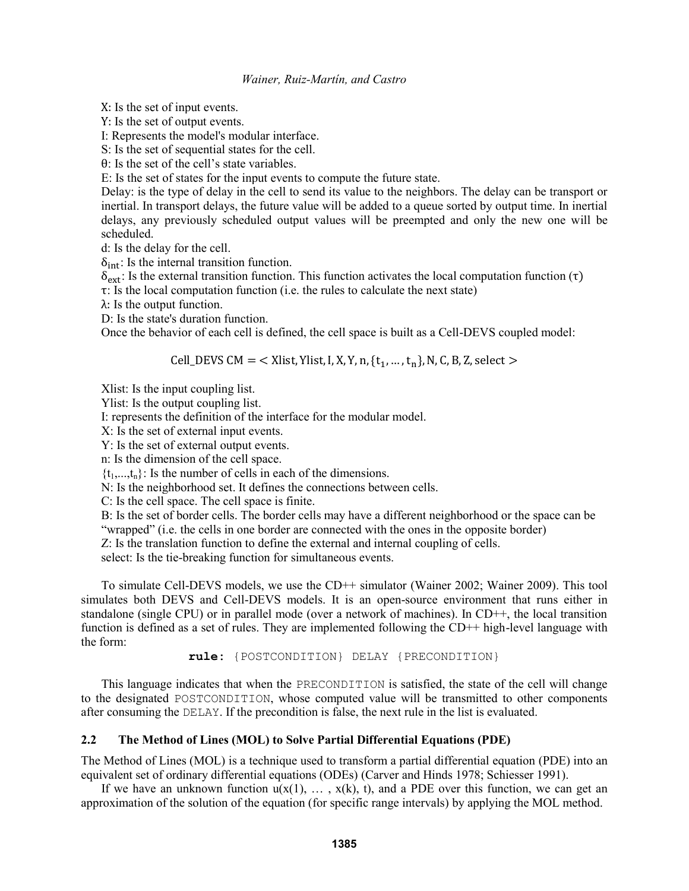X: Is the set of input events.

Y: Is the set of output events.

I: Represents the model's modular interface.

S: Is the set of sequential states for the cell.

θ: Is the set of the cell's state variables.

E: Is the set of states for the input events to compute the future state.

Delay: is the type of delay in the cell to send its value to the neighbors. The delay can be transport or inertial. In transport delays, the future value will be added to a queue sorted by output time. In inertial delays, any previously scheduled output values will be preempted and only the new one will be scheduled.

d: Is the delay for the cell.

 $\delta_{\rm int}$ : Is the internal transition function.

 $\delta_{\text{ext}}$ : Is the external transition function. This function activates the local computation function (τ)

τ: Is the local computation function (i.e. the rules to calculate the next state)

λ: Is the output function.

D: Is the state's duration function.

Once the behavior of each cell is defined, the cell space is built as a Cell-DEVS coupled model:

Cell\_DEVS CM = < Xlist, Ylist, I, X, Y, n,  $\{t_1, ..., t_n\}$ , N, C, B, Z, select >

Xlist: Is the input coupling list.

Ylist: Is the output coupling list.

I: represents the definition of the interface for the modular model.

X: Is the set of external input events.

Y: Is the set of external output events.

n: Is the dimension of the cell space.

 $\{t_1,...,t_n\}$ : Is the number of cells in each of the dimensions.

N: Is the neighborhood set. It defines the connections between cells.

C: Is the cell space. The cell space is finite.

B: Is the set of border cells. The border cells may have a different neighborhood or the space can be "wrapped" (i.e. the cells in one border are connected with the ones in the opposite border)

Z: Is the translation function to define the external and internal coupling of cells.

select: Is the tie-breaking function for simultaneous events.

To simulate Cell-DEVS models, we use the CD++ simulator (Wainer 2002; Wainer 2009). This tool simulates both DEVS and Cell-DEVS models. It is an open-source environment that runs either in standalone (single CPU) or in parallel mode (over a network of machines). In CD++, the local transition function is defined as a set of rules. They are implemented following the CD++ high-level language with the form:

**rule:** {POSTCONDITION} DELAY {PRECONDITION}

This language indicates that when the PRECONDITION is satisfied, the state of the cell will change to the designated POSTCONDITION, whose computed value will be transmitted to other components after consuming the DELAY. If the precondition is false, the next rule in the list is evaluated.

## **2.2 The Method of Lines (MOL) to Solve Partial Differential Equations (PDE)**

The Method of Lines (MOL) is a technique used to transform a partial differential equation (PDE) into an equivalent set of ordinary differential equations (ODEs) (Carver and Hinds 1978; Schiesser 1991).

If we have an unknown function  $u(x(1), \ldots, x(k), t)$ , and a PDE over this function, we can get an approximation of the solution of the equation (for specific range intervals) by applying the MOL method.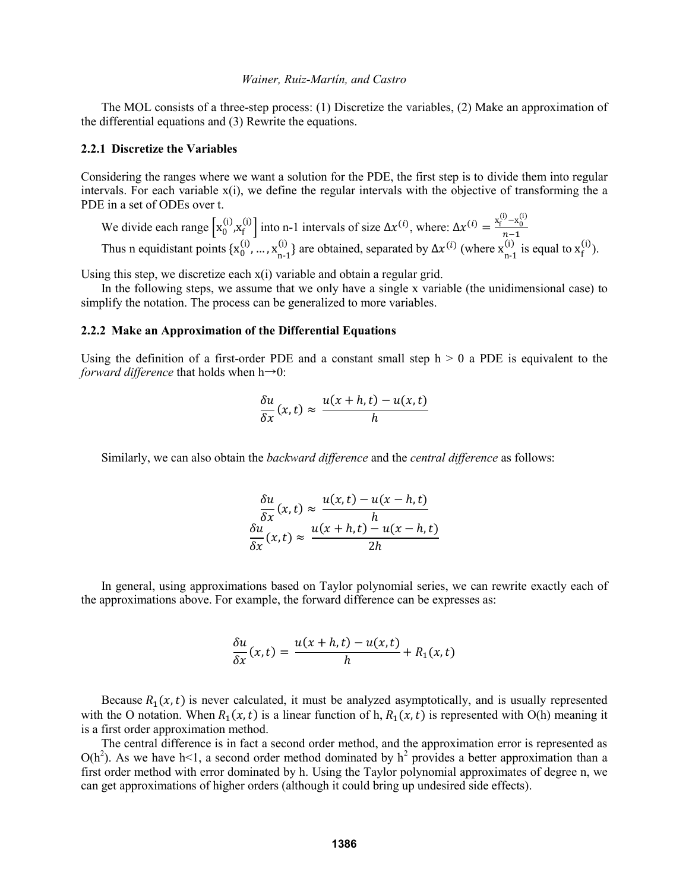The MOL consists of a three-step process: (1) Discretize the variables, (2) Make an approximation of the differential equations and (3) Rewrite the equations.

### **2.2.1 Discretize the Variables**

Considering the ranges where we want a solution for the PDE, the first step is to divide them into regular intervals. For each variable x(i), we define the regular intervals with the objective of transforming the a PDE in a set of ODEs over t.

We divide each range  $\left[x_0^{(i)}, x_f^{(i)}\right]$  into n-1 intervals of size  $\Delta x^{(i)}$ , where:  $\Delta x^{(i)} = \frac{x_f^{(i)} - x_0^{(i)}}{n-1}$  $n-1$ Thus n equidistant points  $\{x_0^{(i)}, ..., x_{n-1}^{(i)}\}$ (i)  $\Delta x^{(i)}$  are obtained, separated by  $\Delta x^{(i)}$  (where  $x_{n-1}^{(i)}$ )  $_{n=1}^{(i)}$  is equal to  $x_f^{(i)}$ ).

Using this step, we discretize each x(i) variable and obtain a regular grid.

In the following steps, we assume that we only have a single x variable (the unidimensional case) to simplify the notation. The process can be generalized to more variables.

### **2.2.2 Make an Approximation of the Differential Equations**

Using the definition of a first-order PDE and a constant small step  $h > 0$  a PDE is equivalent to the *forward difference* that holds when  $h\rightarrow 0$ :

$$
\frac{\delta u}{\delta x}(x,t) \approx \frac{u(x+h,t) - u(x,t)}{h}
$$

Similarly, we can also obtain the *backward difference* and the *central difference* as follows:

$$
\frac{\delta u}{\delta x}(x,t) \approx \frac{u(x,t) - u(x-h,t)}{h}
$$

$$
\frac{\delta u}{\delta x}(x,t) \approx \frac{u(x+h,t) - u(x-h,t)}{2h}
$$

In general, using approximations based on Taylor polynomial series, we can rewrite exactly each of the approximations above. For example, the forward difference can be expresses as:

$$
\frac{\delta u}{\delta x}(x,t) = \frac{u(x+h,t) - u(x,t)}{h} + R_1(x,t)
$$

Because  $R_1(x,t)$  is never calculated, it must be analyzed asymptotically, and is usually represented with the O notation. When  $R_1(x,t)$  is a linear function of h,  $R_1(x,t)$  is represented with O(h) meaning it is a first order approximation method.

The central difference is in fact a second order method, and the approximation error is represented as  $O(h^2)$ . As we have h<1, a second order method dominated by  $h^2$  provides a better approximation than a first order method with error dominated by h. Using the Taylor polynomial approximates of degree n, we can get approximations of higher orders (although it could bring up undesired side effects).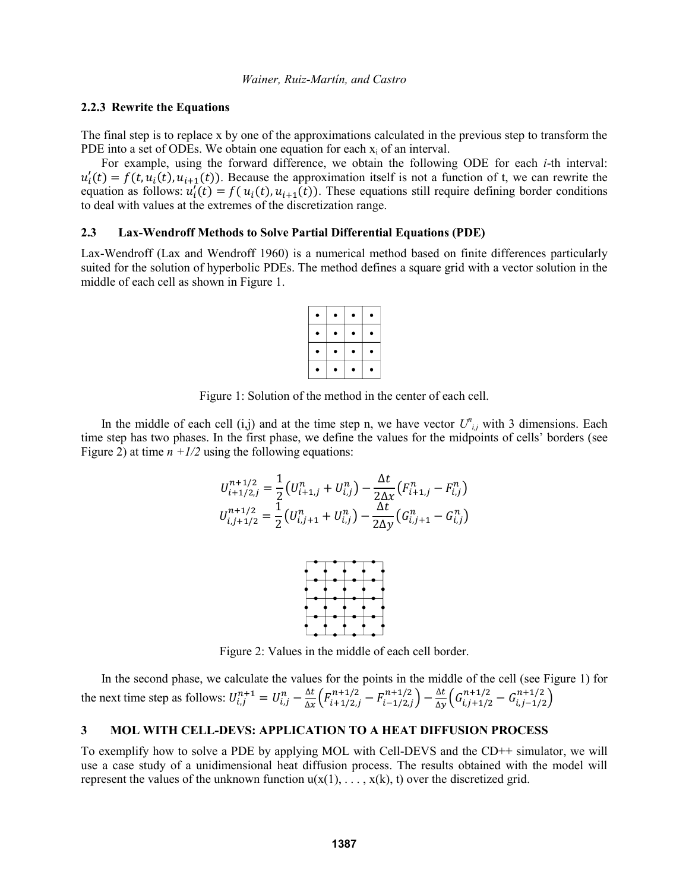### **2.2.3 Rewrite the Equations**

The final step is to replace x by one of the approximations calculated in the previous step to transform the PDE into a set of ODEs. We obtain one equation for each  $x_i$  of an interval.

For example, using the forward difference, we obtain the following ODE for each *i*-th interval:  $u'_{i}(t) = f(t, u_{i}(t), u_{i+1}(t))$ . Because the approximation itself is not a function of t, we can rewrite the equation as follows:  $u'_{i}(t) = f(u_{i}(t), u_{i+1}(t))$ . These equations still require defining border conditions to deal with values at the extremes of the discretization range.

### **2.3 Lax-Wendroff Methods to Solve Partial Differential Equations (PDE)**

Lax-Wendroff (Lax and Wendroff 1960) is a numerical method based on finite differences particularly suited for the solution of hyperbolic PDEs. The method defines a square grid with a vector solution in the middle of each cell as shown in Figure 1.

| ٠      | ۰ | ۰ | ٠ |
|--------|---|---|---|
| ٠<br>, | ٠ | ٠ | ٠ |
|        |   | ۰ |   |
|        |   |   | ٠ |

Figure 1: Solution of the method in the center of each cell.

In the middle of each cell  $(i,j)$  and at the time step n, we have vector  $U^{n}_{i,j}$  with 3 dimensions. Each time step has two phases. In the first phase, we define the values for the midpoints of cells' borders (see Figure 2) at time  $n + 1/2$  using the following equations:

$$
U_{i+1/2,j}^{n+1/2} = \frac{1}{2} \left( U_{i+1,j}^n + U_{i,j}^n \right) - \frac{\Delta t}{2\Delta x} \left( F_{i+1,j}^n - F_{i,j}^n \right)
$$
  

$$
U_{i,j+1/2}^{n+1/2} = \frac{1}{2} \left( U_{i,j+1}^n + U_{i,j}^n \right) - \frac{\Delta t}{2\Delta y} \left( G_{i,j+1}^n - G_{i,j}^n \right)
$$



Figure 2: Values in the middle of each cell border.

In the second phase, we calculate the values for the points in the middle of the cell (see Figure 1) for the next time step as follows:  $U_{i,j}^{n+1} = U_{i,j}^n - \frac{\Delta t}{\Delta x}$  $\frac{\Delta t}{\Delta x} \Big( F_{i+1/2,j}^{n+1/2} - F_{i-1/2,j}^{n+1/2} \Big) - \frac{\Delta t}{\Delta y}$  $\frac{\Delta t}{\Delta y}\Big(G^{n+1/2}_{i,j+1/2}-G^{n+1/2}_{i,j-1/2}\Big)$ 

## **3 MOL WITH CELL-DEVS: APPLICATION TO A HEAT DIFFUSION PROCESS**

To exemplify how to solve a PDE by applying MOL with Cell-DEVS and the CD++ simulator, we will use a case study of a unidimensional heat diffusion process. The results obtained with the model will represent the values of the unknown function  $u(x(1), \ldots, x(k), t)$  over the discretized grid.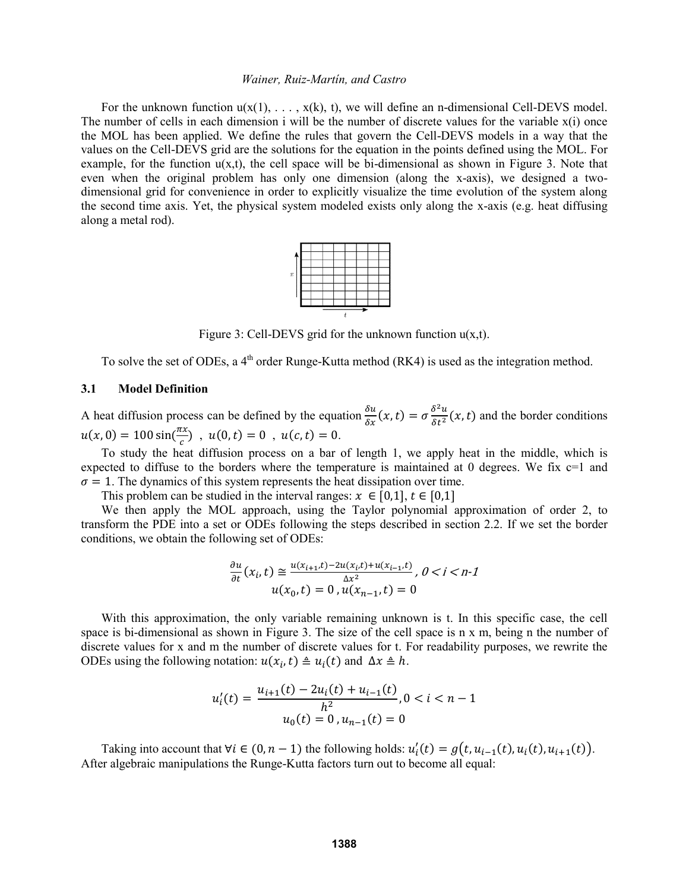For the unknown function  $u(x(1), \ldots, x(k), t)$ , we will define an n-dimensional Cell-DEVS model. The number of cells in each dimension i will be the number of discrete values for the variable x(i) once the MOL has been applied. We define the rules that govern the Cell-DEVS models in a way that the values on the Cell-DEVS grid are the solutions for the equation in the points defined using the MOL. For example, for the function  $u(x,t)$ , the cell space will be bi-dimensional as shown in Figure 3. Note that even when the original problem has only one dimension (along the x-axis), we designed a twodimensional grid for convenience in order to explicitly visualize the time evolution of the system along the second time axis. Yet, the physical system modeled exists only along the x-axis (e.g. heat diffusing along a metal rod).



Figure 3: Cell-DEVS grid for the unknown function  $u(x,t)$ .

To solve the set of ODEs, a  $4<sup>th</sup>$  order Runge-Kutta method (RK4) is used as the integration method.

### **3.1 Model Definition**

A heat diffusion process can be defined by the equation  $\frac{\delta u}{\delta x}(x, t) = \sigma \frac{\delta^2 u}{\delta t^2}$  $\frac{\partial u}{\partial t^2}(x,t)$  and the border conditions  $u(x, 0) = 100 \sin(\frac{\pi x}{2})$  $\frac{dx}{c}$ ),  $u(0,t) = 0$ ,  $u(c,t) = 0$ .

To study the heat diffusion process on a bar of length 1, we apply heat in the middle, which is expected to diffuse to the borders where the temperature is maintained at 0 degrees. We fix  $c=1$  and  $\sigma = 1$ . The dynamics of this system represents the heat dissipation over time.

This problem can be studied in the interval ranges:  $x \in [0,1]$ ,  $t \in [0,1]$ 

We then apply the MOL approach, using the Taylor polynomial approximation of order 2, to transform the PDE into a set or ODEs following the steps described in section 2.2. If we set the border conditions, we obtain the following set of ODEs:

$$
\frac{\partial u}{\partial t}(x_i, t) \cong \frac{u(x_{i+1}, t) - 2u(x_i, t) + u(x_{i-1}, t)}{\Delta x^2}, 0 < i < n-1
$$
  
 
$$
u(x_0, t) = 0, u(x_{n-1}, t) = 0
$$

With this approximation, the only variable remaining unknown is t. In this specific case, the cell space is bi-dimensional as shown in Figure 3. The size of the cell space is n x m, being n the number of discrete values for x and m the number of discrete values for t. For readability purposes, we rewrite the ODEs using the following notation:  $u(x_i, t) \triangleq u_i(t)$  and  $\Delta x \triangleq h$ .

$$
u'_{i}(t) = \frac{u_{i+1}(t) - 2u_{i}(t) + u_{i-1}(t)}{h^{2}}, 0 < i < n - 1
$$
  

$$
u_{0}(t) = 0, u_{n-1}(t) = 0
$$

Taking into account that  $\forall i \in (0, n - 1)$  the following holds:  $u'_i(t) = g(t, u_{i-1}(t), u_i(t), u_{i+1}(t))$ . After algebraic manipulations the Runge-Kutta factors turn out to become all equal: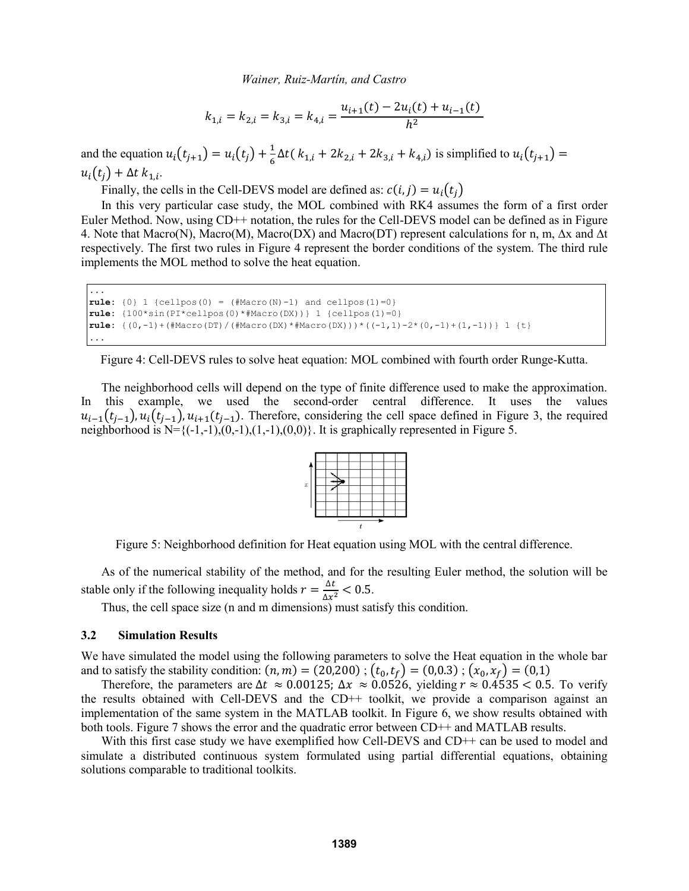$$
k_{1,i} = k_{2,i} = k_{3,i} = k_{4,i} = \frac{u_{i+1}(t) - 2u_i(t) + u_{i-1}(t)}{h^2}
$$

and the equation  $u_i(t_{j+1}) = u_i(t_j) + \frac{1}{6}$  $\frac{1}{6}\Delta t(k_{1,i} + 2k_{2,i} + 2k_{3,i} + k_{4,i})$  is simplified to  $u_i(t_{j+1}) =$  $u_i(t_j) + \Delta t \; k_{1,i}$ .

Finally, the cells in the Cell-DEVS model are defined as:  $c(i, j) = u_i(t_i)$ 

In this very particular case study, the MOL combined with RK4 assumes the form of a first order Euler Method. Now, using CD++ notation, the rules for the Cell-DEVS model can be defined as in Figure 4. Note that Macro(N), Macro(M), Macro(DX) and Macro(DT) represent calculations for n, m, ∆x and ∆t respectively. The first two rules in Figure 4 represent the border conditions of the system. The third rule implements the MOL method to solve the heat equation.

```
...
rule: \{0\} 1 \{cellpos(0) = (\#Macro(N)-1) and cellpos(1)=0\}rule: {100*sin(PI*cellpos(0)*#Macro(DX))} 1 {cellpos(1)=0}
rule: \{(0,-1)+(#Macro(DT)/(#Macro(DX)*#Macro(DX)))*((-1,1)-2*(0,-1)+(1,-1))} 1 {t}
...
```
Figure 4: Cell-DEVS rules to solve heat equation: MOL combined with fourth order Runge-Kutta.

The neighborhood cells will depend on the type of finite difference used to make the approximation. In this example, we used the second-order central difference. It uses the values  $u_{i-1}(t_{j-1}), u_i(t_{j-1}), u_{i+1}(t_{j-1})$ . Therefore, considering the cell space defined in Figure 3, the required neighborhood is  $N=\{(-1,-1),(0,-1),(1,-1),(0,0)\}$ . It is graphically represented in Figure 5.



Figure 5: Neighborhood definition for Heat equation using MOL with the central difference.

As of the numerical stability of the method, and for the resulting Euler method, the solution will be stable only if the following inequality holds  $r = \frac{\Delta t}{\Delta t}$  $\frac{\Delta t}{\Delta x^2} < 0.5.$ 

Thus, the cell space size (n and m dimensions) must satisfy this condition.

#### **3.2 Simulation Results**

We have simulated the model using the following parameters to solve the Heat equation in the whole bar and to satisfy the stability condition:  $(n, m) = (20, 200)$ ;  $(t_0, t_f) = (0, 0.3)$ ;  $(x_0, x_f) = (0, 1)$ 

Therefore, the parameters are  $\Delta t \approx 0.00125$ ;  $\Delta x \approx 0.0526$ , yielding  $r \approx 0.4535 < 0.5$ . To verify the results obtained with Cell-DEVS and the CD++ toolkit, we provide a comparison against an implementation of the same system in the MATLAB toolkit. In Figure 6, we show results obtained with both tools. Figure 7 shows the error and the quadratic error between CD++ and MATLAB results.

With this first case study we have exemplified how Cell-DEVS and CD++ can be used to model and simulate a distributed continuous system formulated using partial differential equations, obtaining solutions comparable to traditional toolkits.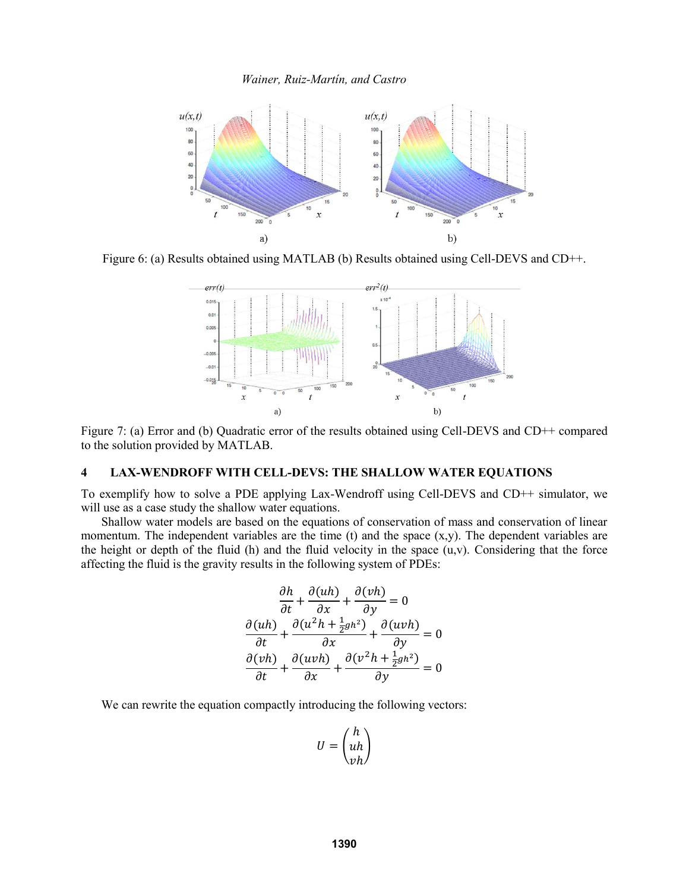

Figure 6: (a) Results obtained using MATLAB (b) Results obtained using Cell-DEVS and CD++.



Figure 7: (a) Error and (b) Quadratic error of the results obtained using Cell-DEVS and CD++ compared to the solution provided by MATLAB.

### **4 LAX-WENDROFF WITH CELL-DEVS: THE SHALLOW WATER EQUATIONS**

To exemplify how to solve a PDE applying Lax-Wendroff using Cell-DEVS and CD++ simulator, we will use as a case study the shallow water equations.

Shallow water models are based on the equations of conservation of mass and conservation of linear momentum. The independent variables are the time (t) and the space (x,y). The dependent variables are the height or depth of the fluid (h) and the fluid velocity in the space  $(u, v)$ . Considering that the force affecting the fluid is the gravity results in the following system of PDEs:

$$
\frac{\partial h}{\partial t} + \frac{\partial (uh)}{\partial x} + \frac{\partial (vh)}{\partial y} = 0
$$

$$
\frac{\partial (uh)}{\partial t} + \frac{\partial (u^2h + \frac{1}{2}gh^2)}{\partial x} + \frac{\partial (uvh)}{\partial y} = 0
$$

$$
\frac{\partial (vh)}{\partial t} + \frac{\partial (uvh)}{\partial x} + \frac{\partial (v^2h + \frac{1}{2}gh^2)}{\partial y} = 0
$$

We can rewrite the equation compactly introducing the following vectors:

$$
U = \begin{pmatrix} h \\ uh \\ vh \end{pmatrix}
$$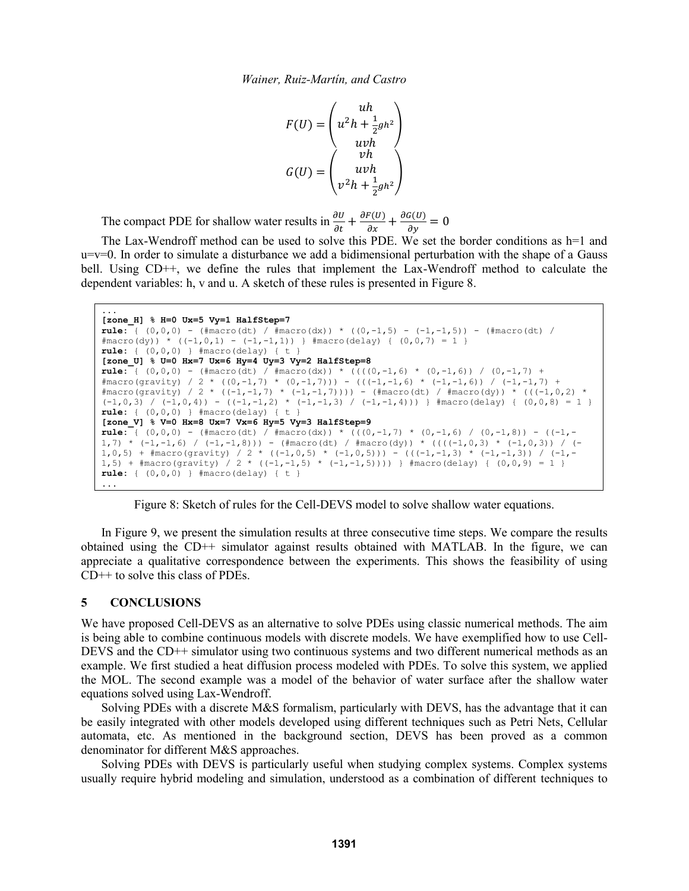$$
F(U) = \begin{pmatrix} uh \\ u^2h + \frac{1}{2}gh^2 \\ uvh \\ uvh \end{pmatrix}
$$

$$
G(U) = \begin{pmatrix} vh \\ wh \\ v^2h + \frac{1}{2}gh^2 \end{pmatrix}
$$

The compact PDE for shallow water results in  $\frac{\partial U}{\partial t} + \frac{\partial F(U)}{\partial x} + \frac{\partial G(U)}{\partial y} = 0$ 

The Lax-Wendroff method can be used to solve this PDE. We set the border conditions as h=1 and u=v=0. In order to simulate a disturbance we add a bidimensional perturbation with the shape of a Gauss bell. Using CD<sup>++</sup>, we define the rules that implement the Lax-Wendroff method to calculate the dependent variables: h, v and u. A sketch of these rules is presented in Figure 8.

```
...
[zone_H] % H=0 Ux=5 Vy=1 HalfStep=7
rule: \{ (0,0,0) - (\text{fmacro}(dt)) / \text{fmacro}(dx) \} * ((0,-1,5) - (-1,-1,5)) - (\text{fmacro}(dt)) / \}#macro(dy)) * ((-1,0,1) - (-1,-1,1)) } #macro(delay) { (0,0,7) = 1 }
rule: \{ (0, 0, 0) \} #macro(delay) \{ t \}[zone_U] % U=0 Hx=7 Ux=6 Hy=4 Uy=3 Vy=2 HalfStep=8
rule: \begin{bmatrix} {\color{magenta} (0,0,0) - (}\frac{\text{Im}{\color{magenta} (0,0)}}{\text{Im}{\color{magenta} (0,0)}} & {\color{magenta} (}\frac{\text{Im}{\color{magenta} (0,0)}}{\text{Im}{\color{magenta} (0,0)}} & {\color{magenta} (}\frac{\text{Im}{\color{magenta} (0,0)}}{\text{Im}{\color{magenta} (0,0)}} & {\color{magenta} (0,-1,6)}} & {\color{magenta} (0,-1,6)} & {\color{magenta} (0,-1,7)} & + \frac{\text{Im}{\color{magenta} (0,0)}}{\text{Im}{\color{magenta}#macro(gravity) / 2 * ((0,-1,7) * (0,-1,7))) - (((-1,-1,6) * (-1,-1,6)) / (-1,-1,7) +
#macro(gravity) / 2 * ((-1, -1, 7) * (-1, -1, 7)))) - (#macro(dt) / #macro(dy)) * (((-1, 0, 2) *
(-1,0,3) / (-1,0,4) - ((-1,-1,2) * (-1,-1,3) / (-1,-1,4))) } #macro(delay) { (0,0,8) = 1 }
rule: { (0,0,0) } #macro(delay) { t }
[zone_V] % V=0 Hx=8 Ux=7 Vx=6 Hy=5 Vy=3 HalfStep=9
rule: { (0,0,0) - (#macro(dt) / #macro(dx)) * (((0,-1,7) * (0,-1,6) / (0,-1,8)) - ((-1,-
1,7) * (-1,-1,6) / (-1,-1,8))) - (#macro(dt) / #macro(dy)) * ((((-1,0,3) * (-1,0,3)) / (-
1,0,5) + #macro(gravity) / 2 * ((-1,0,5) * (-1,0,5))) - (((-1,-1,3) * (-1,-1,3)) / (-1,-
1,5) + #macro(gravity) / 2 * ((-1,-1,5) * (-1,-1,5)))) } #macro(delay) { (0,0,9) = 1 }
rule: { (0, 0, 0) } |   #macro(delay) | t...
```
Figure 8: Sketch of rules for the Cell-DEVS model to solve shallow water equations.

In Figure 9, we present the simulation results at three consecutive time steps. We compare the results obtained using the CD++ simulator against results obtained with MATLAB. In the figure, we can appreciate a qualitative correspondence between the experiments. This shows the feasibility of using CD++ to solve this class of PDEs.

#### **5 CONCLUSIONS**

We have proposed Cell-DEVS as an alternative to solve PDEs using classic numerical methods. The aim is being able to combine continuous models with discrete models. We have exemplified how to use Cell-DEVS and the CD++ simulator using two continuous systems and two different numerical methods as an example. We first studied a heat diffusion process modeled with PDEs. To solve this system, we applied the MOL. The second example was a model of the behavior of water surface after the shallow water equations solved using Lax-Wendroff.

Solving PDEs with a discrete M&S formalism, particularly with DEVS, has the advantage that it can be easily integrated with other models developed using different techniques such as Petri Nets, Cellular automata, etc. As mentioned in the background section, DEVS has been proved as a common denominator for different M&S approaches.

Solving PDEs with DEVS is particularly useful when studying complex systems. Complex systems usually require hybrid modeling and simulation, understood as a combination of different techniques to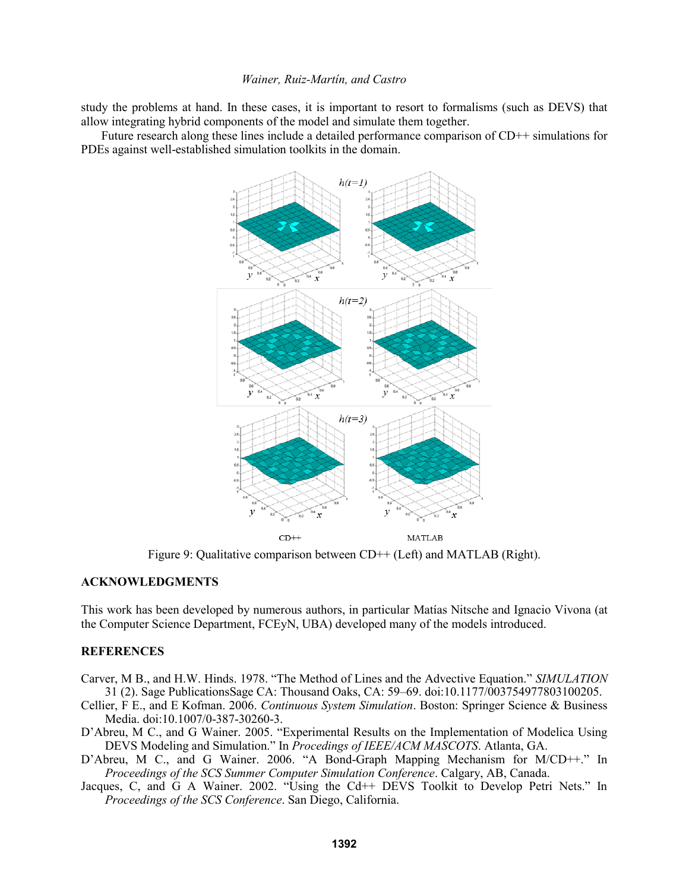study the problems at hand. In these cases, it is important to resort to formalisms (such as DEVS) that allow integrating hybrid components of the model and simulate them together.

Future research along these lines include a detailed performance comparison of CD++ simulations for PDEs against well-established simulation toolkits in the domain.



Figure 9: Qualitative comparison between CD++ (Left) and MATLAB (Right).

# **ACKNOWLEDGMENTS**

This work has been developed by numerous authors, in particular Matías Nitsche and Ignacio Vivona (at the Computer Science Department, FCEyN, UBA) developed many of the models introduced.

## **REFERENCES**

- Carver, M B., and H.W. Hinds. 1978. "The Method of Lines and the Advective Equation." *SIMULATION* 31 (2). Sage PublicationsSage CA: Thousand Oaks, CA: 59–69. doi:10.1177/003754977803100205.
- Cellier, F E., and E Kofman. 2006. *Continuous System Simulation*. Boston: Springer Science & Business Media. doi:10.1007/0-387-30260-3.
- D'Abreu, M C., and G Wainer. 2005. "Experimental Results on the Implementation of Modelica Using DEVS Modeling and Simulation." In *Procedings of IEEE/ACM MASCOTS*. Atlanta, GA.
- D'Abreu, M C., and G Wainer. 2006. "A Bond-Graph Mapping Mechanism for M/CD++." In *Proceedings of the SCS Summer Computer Simulation Conference*. Calgary, AB, Canada.
- Jacques, C, and G A Wainer. 2002. "Using the Cd++ DEVS Toolkit to Develop Petri Nets." In *Proceedings of the SCS Conference*. San Diego, California.